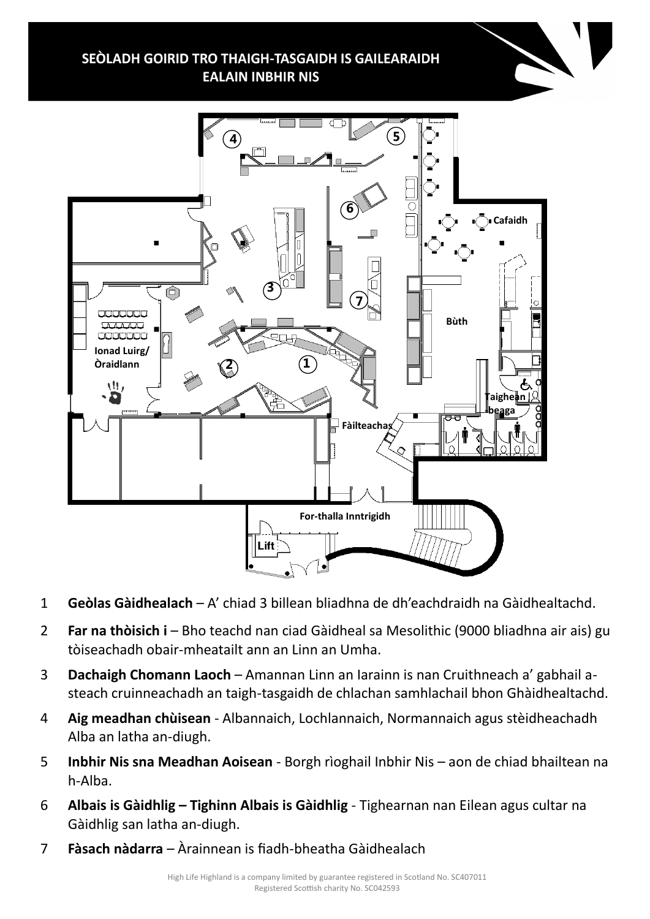SEÒLADH GOIRID TRO THAIGH-TASGAIDH IS GAILEARAIDH **EALAIN INBHIR NIS** 



- 1 **Geòlas Gàidhealach**  A' chiad 3 billean bliadhna de dh'eachdraidh na Gàidhealtachd.
- 2 **Far na thòisich i**  Bho teachd nan ciad Gàidheal sa Mesolithic (9000 bliadhna air ais) gu tòiseachadh obair-mheatailt ann an Linn an Umha.
- 3 **Dachaigh Chomann Laoch**  Amannan Linn an Iarainn is nan Cruithneach a' gabhail asteach cruinneachadh an taigh-tasgaidh de chlachan samhlachail bhon Ghàidhealtachd.
- 4 **Aig meadhan chùisean**  Albannaich, Lochlannaich, Normannaich agus stèidheachadh Alba an latha an-diugh.
- 5 **Inbhir Nis sna Meadhan Aoisean**  Borgh rìoghail Inbhir Nis aon de chiad bhailtean na h-Alba.
- 6 **Albais is Gàidhlig – Tighinn Albais is Gàidhlig** Tighearnan nan Eilean agus cultar na Gàidhlig san latha an-diugh.
- 7 **Fàsach nàdarra**  Àrainnean is fiadh-bheatha Gàidhealach